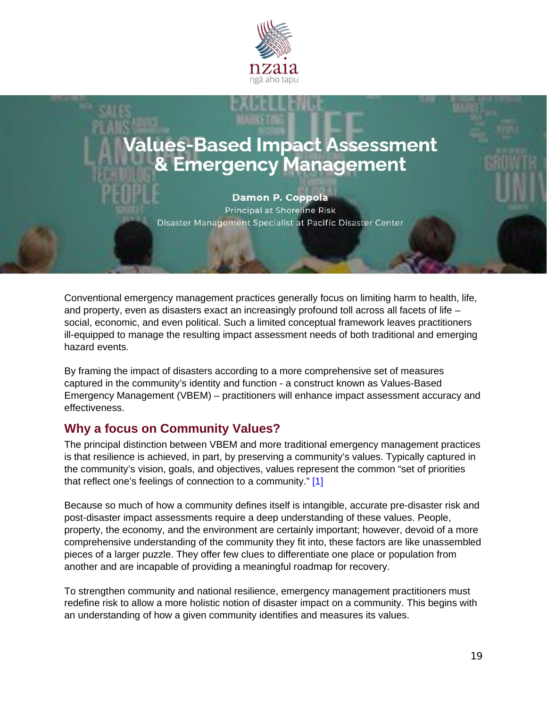

# **Values-Based Impact Assessment & Emergency Management**

**Damon P. Coppola** Principal at Shoreline Risk Disaster Management Specialist at Pacific Disaster Center

Conventional emergency management practices generally focus on limiting harm to health, life, and property, even as disasters exact an increasingly profound toll across all facets of life – social, economic, and even political. Such a limited conceptual framework leaves practitioners ill-equipped to manage the resulting impact assessment needs of both traditional and emerging hazard events.

By framing the impact of disasters according to a more comprehensive set of measures captured in the community's identity and function - a construct known as Values-Based Emergency Management (VBEM) – practitioners will enhance impact assessment accuracy and effectiveness.

## **Why a focus on Community Values?**

The principal distinction between VBEM and more traditional emergency management practices is that resilience is achieved, in part, by preserving a community's values. Typically captured in the community's vision, goals, and objectives, values represent the common "set of priorities that reflect one's feelings of connection to a community." [\[1\]](https://www.nzaia.org.nz/damoncoppola.html#_ftn1)

Because so much of how a community defines itself is intangible, accurate pre-disaster risk and post-disaster impact assessments require a deep understanding of these values. People, property, the economy, and the environment are certainly important; however, devoid of a more comprehensive understanding of the community they fit into, these factors are like unassembled pieces of a larger puzzle. They offer few clues to differentiate one place or population from another and are incapable of providing a meaningful roadmap for recovery.

To strengthen community and national resilience, emergency management practitioners must redefine risk to allow a more holistic notion of disaster impact on a community. This begins with an understanding of how a given community identifies and measures its values.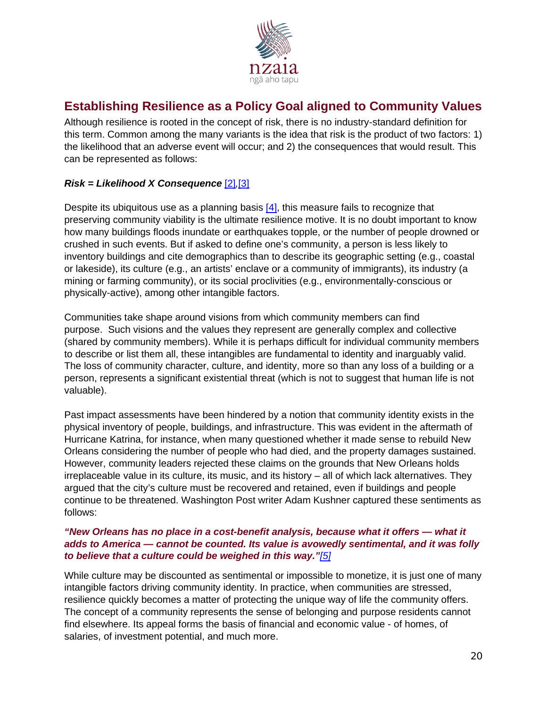

# **Establishing Resilience as a Policy Goal aligned to Community Values**

Although resilience is rooted in the concept of risk, there is no industry-standard definition for this term. Common among the many variants is the idea that risk is the product of two factors: 1) the likelihood that an adverse event will occur; and 2) the consequences that would result. This can be represented as follows:

#### *Risk = Likelihood X Consequence* [\[2\]](https://www.nzaia.org.nz/damoncoppola.html#_ftn1)*,*[\[3\]](https://www.nzaia.org.nz/damoncoppola.html#_ftn2)

Despite its ubiquitous use as a planning basis [\[4\],](https://www.nzaia.org.nz/damoncoppola.html#_ftn3) this measure fails to recognize that preserving community viability is the ultimate resilience motive. It is no doubt important to know how many buildings floods inundate or earthquakes topple, or the number of people drowned or crushed in such events. But if asked to define one's community, a person is less likely to inventory buildings and cite demographics than to describe its geographic setting (e.g., coastal or lakeside), its culture (e.g., an artists' enclave or a community of immigrants), its industry (a mining or farming community), or its social proclivities (e.g., environmentally-conscious or physically-active), among other intangible factors.

Communities take shape around visions from which community members can find purpose. Such visions and the values they represent are generally complex and collective (shared by community members). While it is perhaps difficult for individual community members to describe or list them all, these intangibles are fundamental to identity and inarguably valid. The loss of community character, culture, and identity, more so than any loss of a building or a person, represents a significant existential threat (which is not to suggest that human life is not valuable).

Past impact assessments have been hindered by a notion that community identity exists in the physical inventory of people, buildings, and infrastructure. This was evident in the aftermath of Hurricane Katrina, for instance, when many questioned whether it made sense to rebuild New Orleans considering the number of people who had died, and the property damages sustained. However, community leaders rejected these claims on the grounds that New Orleans holds irreplaceable value in its culture, its music, and its history – all of which lack alternatives. They argued that the city's culture must be recovered and retained, even if buildings and people continue to be threatened. Washington Post writer Adam Kushner captured these sentiments as follows:

#### *"New Orleans has no place in a cost-benefit analysis, because what it offers — what it adds to America — cannot be counted. Its value is avowedly sentimental, and it was folly to believe that a culture could be weighed in this way."[\[5\]](https://www.nzaia.org.nz/damoncoppola.html#_ftn1)*

While culture may be discounted as sentimental or impossible to monetize, it is just one of many intangible factors driving community identity. In practice, when communities are stressed, resilience quickly becomes a matter of protecting the unique way of life the community offers. The concept of a community represents the sense of belonging and purpose residents cannot find elsewhere. Its appeal forms the basis of financial and economic value - of homes, of salaries, of investment potential, and much more.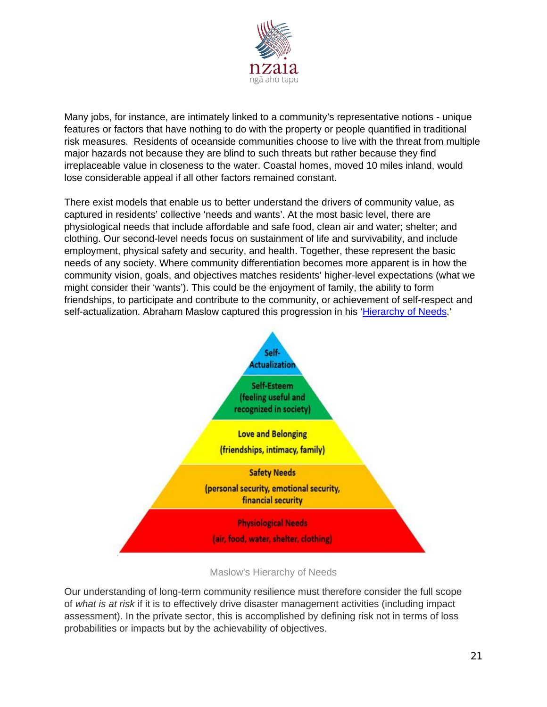

Many jobs, for instance, are intimately linked to a community's representative notions - unique features or factors that have nothing to do with the property or people quantified in traditional risk measures. Residents of oceanside communities choose to live with the threat from multiple major hazards not because they are blind to such threats but rather because they find irreplaceable value in closeness to the water. Coastal homes, moved 10 miles inland, would lose considerable appeal if all other factors remained constant.

There exist models that enable us to better understand the drivers of community value, as captured in residents' collective 'needs and wants'. At the most basic level, there are physiological needs that include affordable and safe food, clean air and water; shelter; and clothing. Our second-level needs focus on sustainment of life and survivability, and include employment, physical safety and security, and health. Together, these represent the basic needs of any society. Where community differentiation becomes more apparent is in how the community vision, goals, and objectives matches residents' higher-level expectations (what we might consider their 'wants'). This could be the enjoyment of family, the ability to form friendships, to participate and contribute to the community, or achievement of self-respect and self-actualization. Abraham Maslow captured this progression in his ['Hierarchy of Needs.](https://en.wikipedia.org/wiki/Maslow%27s_hierarchy_of_needs)'



Maslow's Hierarchy of Needs

Our understanding of long-term community resilience must therefore consider the full scope of *what is at risk* if it is to effectively drive disaster management activities (including impact assessment). In the private sector, this is accomplished by defining risk not in terms of loss probabilities or impacts but by the achievability of objectives.